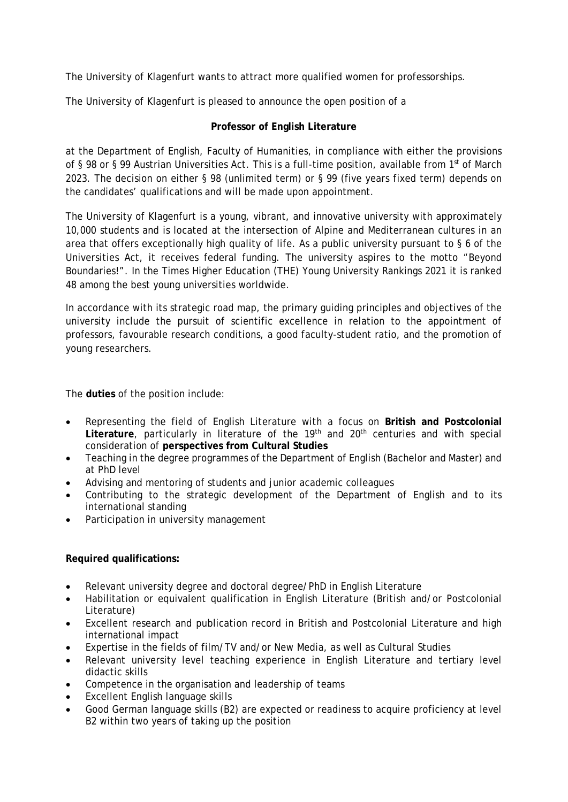The University of Klagenfurt wants to attract more qualified women for professorships.

The University of Klagenfurt is pleased to announce the open position of a

## **Professor of English Literature**

at the Department of English, Faculty of Humanities, in compliance with either the provisions of § 98 or § 99 Austrian Universities Act. This is a full-time position, available from 1<sup>st</sup> of March 2023. The decision on either § 98 (unlimited term) or § 99 (five years fixed term) depends on the candidates' qualifications and will be made upon appointment.

The University of Klagenfurt is a young, vibrant, and innovative university with approximately 10,000 students and is located at the intersection of Alpine and Mediterranean cultures in an area that offers exceptionally high quality of life. As a public university pursuant to § 6 of the Universities Act, it receives federal funding. The university aspires to the motto "Beyond Boundaries!". In the Times Higher Education (THE) Young University Rankings 2021 it is ranked 48 among the best young universities worldwide.

In accordance with its strategic road map, the primary guiding principles and objectives of the university include the pursuit of scientific excellence in relation to the appointment of professors, favourable research conditions, a good faculty-student ratio, and the promotion of young researchers.

The **duties** of the position include:

- Representing the field of English Literature with a focus on **British and Postcolonial**  Literature, particularly in literature of the 19<sup>th</sup> and 20<sup>th</sup> centuries and with special consideration of **perspectives from Cultural Studies**
- Teaching in the degree programmes of the Department of English (Bachelor and Master) and at PhD level
- Advising and mentoring of students and junior academic colleagues
- Contributing to the strategic development of the Department of English and to its international standing
- Participation in university management

## **Required qualifications:**

- Relevant university degree and doctoral degree/PhD in English Literature
- Habilitation or equivalent qualification in English Literature (British and/or Postcolonial Literature)
- Excellent research and publication record in British and Postcolonial Literature and high international impact
- Expertise in the fields of film/TV and/or New Media, as well as Cultural Studies
- Relevant university level teaching experience in English Literature and tertiary level didactic skills
- Competence in the organisation and leadership of teams
- Excellent English language skills
- Good German language skills (B2) are expected or readiness to acquire proficiency at level B2 within two years of taking up the position